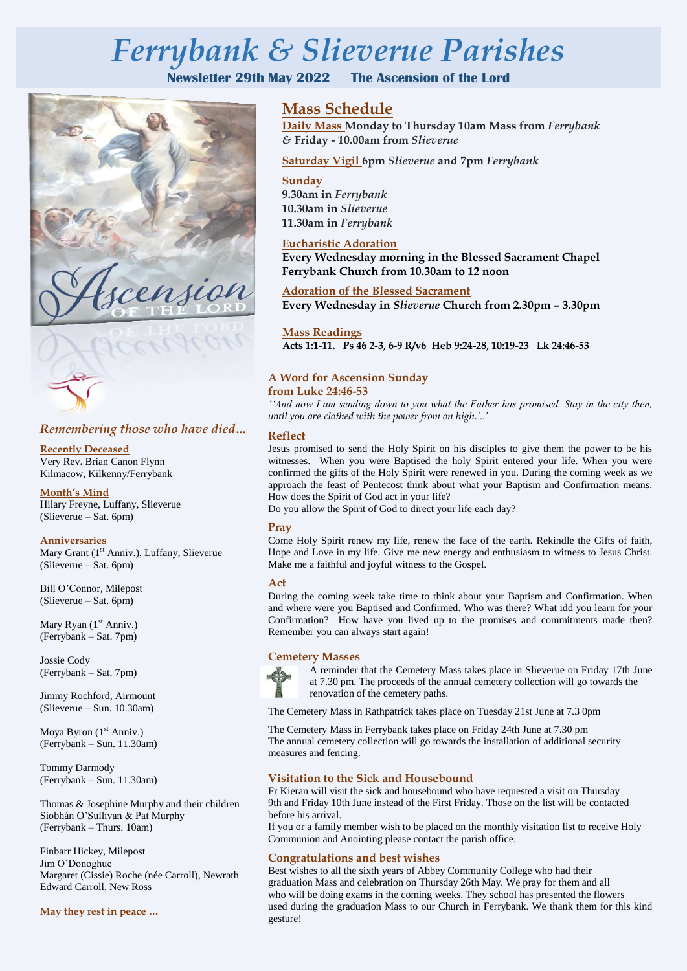# *Ferrybank & Slieverue Parishes*

**Newsletter 29th May 2022 The Ascension of the Lord**





# *Remembering those who have died…*

 Kilmacow, Kilkenny/Ferrybank **Recently Deceased** Very Rev. Brian Canon Flynn

# **Month's Mind**

Hilary Freyne, Luffany, Slieverue (Slieverue – Sat. 6pm)

#### **Anniversaries**

Mary Grant (1<sup>st</sup> Anniv.), Luffany, Slieverue (Slieverue – Sat. 6pm)

Bill O'Connor, Milepost (Slieverue – Sat. 6pm)

Mary Ryan  $(1<sup>st</sup> Anniv.)$ (Ferrybank – Sat. 7pm)

Jossie Cody (Ferrybank – Sat. 7pm)

Jimmy Rochford, Airmount (Slieverue – Sun. 10.30am)

Moya Byron (1<sup>st</sup> Anniv.) (Ferrybank – Sun. 11.30am)

Tommy Darmody (Ferrybank – Sun. 11.30am)

Thomas & Josephine Murphy and their children Siobhán O'Sullivan & Pat Murphy (Ferrybank – Thurs. 10am)

Finbarr Hickey, Milepost Jim O'Donoghue Margaret (Cissie) Roche (née Carroll), Newrath Edward Carroll, New Ross

**May they rest in peace …**

# **Mass Schedule**

**Daily Mass Monday to Thursday 10am Mass from** *Ferrybank &* **Friday - 10.00am from** *Slieverue*

**Saturday Vigil 6pm** *Slieverue* **and 7pm** *Ferrybank* 

### **Sunday**

**9.30am in** *Ferrybank*  **10.30am in** *Slieverue*  **11.30am in** *Ferrybank*

# **Eucharistic Adoration**

**Every Wednesday morning in the Blessed Sacrament Chapel Ferrybank Church from 10.30am to 12 noon**

**Adoration of the Blessed Sacrament Every Wednesday in** *Slieverue* **Church from 2.30pm – 3.30pm**

**Mass Readings Acts 1:1-11. Ps 46 2-3, 6-9 R/v6 Heb 9:24-28, 10:19-23 Lk 24:46-53**

# **A Word for Ascension Sunday from Luke 24:46-53**

*''And now I am sending down to you what the Father has promised. Stay in the city then, until you are clothed with the power from on high.'..'*

### **Reflect**

Jesus promised to send the Holy Spirit on his disciples to give them the power to be his witnesses. When you were Baptised the holy Spirit entered your life. When you were confirmed the gifts of the Holy Spirit were renewed in you. During the coming week as we approach the feast of Pentecost think about what your Baptism and Confirmation means. How does the Spirit of God act in your life?

Do you allow the Spirit of God to direct your life each day?

# **Pray**

Come Holy Spirit renew my life, renew the face of the earth. Rekindle the Gifts of faith, Hope and Love in my life. Give me new energy and enthusiasm to witness to Jesus Christ. Make me a faithful and joyful witness to the Gospel.

# **Act**

During the coming week take time to think about your Baptism and Confirmation. When and where were you Baptised and Confirmed. Who was there? What idd you learn for your Confirmation? How have you lived up to the promises and commitments made then? Remember you can always start again!

# **Cemetery Masses**



A reminder that the Cemetery Mass takes place in Slieverue on Friday 17th June at 7.30 pm. The proceeds of the annual cemetery collection will go towards the renovation of the cemetery paths.

The Cemetery Mass in Rathpatrick takes place on Tuesday 21st June at 7.3 0pm

The Cemetery Mass in Ferrybank takes place on Friday 24th June at 7.30 pm The annual cemetery collection will go towards the installation of additional security measures and fencing.

# **Visitation to the Sick and Housebound**

Fr Kieran will visit the sick and housebound who have requested a visit on Thursday 9th and Friday 10th June instead of the First Friday. Those on the list will be contacted before his arrival.

If you or a family member wish to be placed on the monthly visitation list to receive Holy Communion and Anointing please contact the parish office.

# **Congratulations and best wishes**

Best wishes to all the sixth years of Abbey Community College who had their graduation Mass and celebration on Thursday 26th May. We pray for them and all who will be doing exams in the coming weeks. They school has presented the flowers used during the graduation Mass to our Church in Ferrybank. We thank them for this kind gesture!